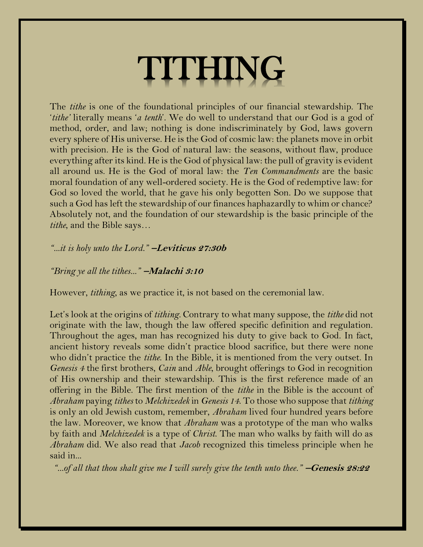## TITHING

The *tithe* is one of the foundational principles of our financial stewardship. The '*tithe'* literally means '*a tenth*'. We do well to understand that our God is a god of method, order, and law; nothing is done indiscriminately by God, laws govern every sphere of His universe. He is the God of cosmic law: the planets move in orbit with precision. He is the God of natural law: the seasons, without flaw, produce everything after its kind. He is the God of physical law: the pull of gravity is evident all around us. He is the God of moral law: the *Ten Commandments* are the basic moral foundation of any well-ordered society. He is the God of redemptive law: for God so loved the world, that he gave his only begotten Son. Do we suppose that such a God has left the stewardship of our finances haphazardly to whim or chance? Absolutely not, and the foundation of our stewardship is the basic principle of the *tithe*, and the Bible says…

## *"...it is holy unto the Lord."* <sup>−</sup>**Leviticus 27:30b**

## *"Bring ye all the tithes..."* <sup>−</sup>**Malachi 3:10**

However, *tithing*, as we practice it, is not based on the ceremonial law.

Let's look at the origins of *tithing.* Contrary to what many suppose, the *tithe* did not originate with the law, though the law offered specific definition and regulation. Throughout the ages, man has recognized his duty to give back to God. In fact, ancient history reveals some didn't practice blood sacrifice, but there were none who didn't practice the *tithe*. In the Bible, it is mentioned from the very outset. In *Genesis 4* the first brothers, *Cain* and *Able*, brought offerings to God in recognition of His ownership and their stewardship. This is the first reference made of an offering in the Bible. The first mention of the *tithe* in the Bible is the account of *Abraham* paying *tithes* to *Melchizedek* in *Genesis 14*. To those who suppose that *tithing* is only an old Jewish custom, remember, *Abraham* lived four hundred years before the law. Moreover, we know that *Abraham* was a prototype of the man who walks by faith and *Melchizedek* is a type of *Christ*. The man who walks by faith will do as *Abraham* did. We also read that *Jacob* recognized this timeless principle when he said in...

*"...of all that thou shalt give me I will surely give the tenth unto thee."* −**Genesis 28:22**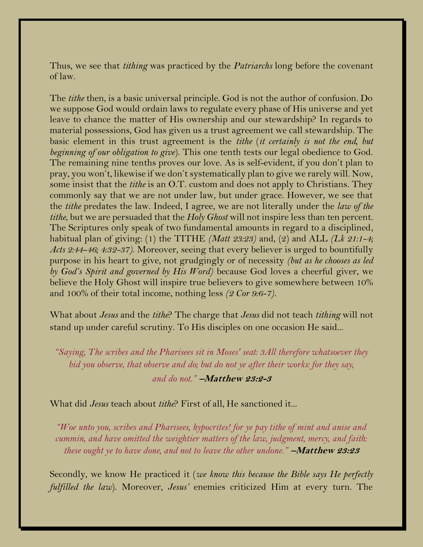Thus, we see that *tithing* was practiced by the *Patriarchs* long before the covenant of law.

The *tithe* then, is a basic universal principle. God is not the author of confusion. Do we suppose God would ordain laws to regulate every phase of His universe and yet leave to chance the matter of His ownership and our stewardship? In regards to material possessions, God has given us a trust agreement we call stewardship. The basic element in this trust agreement is the *tithe* (*it certainly is not the end, but beginning of our obligation to give*). This one tenth tests our legal obedience to God. The remaining nine tenths proves our love. As is self-evident, if you don't plan to pray, you won't, likewise if we don't systematically plan to give we rarely will. Now, some insist that the *tithe* is an O.T. custom and does not apply to Christians. They commonly say that we are not under law, but under grace. However, we see that the *tithe* predates the law. Indeed, I agree, we are not literally under the *law of the tithe*, but we are persuaded that the *Holy Ghost* will not inspire less than ten percent. The Scriptures only speak of two fundamental amounts in regard to a disciplined, habitual plan of giving: (1) the TITHE *(Matt 23:23)* and, (2) and ALL *(Lk 21:1-4; Acts 2:44-46; 4:32-37)*. Moreover, seeing that every believer is urged to bountifully purpose in his heart to give, not grudgingly or of necessity *(but as he chooses as led by God's Spirit and governed by His Word)* because God loves a cheerful giver, we believe the Holy Ghost will inspire true believers to give somewhere between 10% and 100% of their total income, nothing less *(2 Cor 9:6-7).*

What about *Jesus* and the *tithe*? The charge that *Jesus* did not teach *tithing* will not stand up under careful scrutiny. To His disciples on one occasion He said...

*"Saying, The scribes and the Pharisees sit in Moses' seat: 3All therefore whatsoever they bid you observe, that observe and do; but do not ye after their works: for they say, and do not."* −**Matthew 23:2-3**

What did *Jesus* teach about *tithe*? First of all, He sanctioned it...

*"Woe unto you, scribes and Pharisees, hypocrites! for ye pay tithe of mint and anise and cummin, and have omitted the weightier matters of the law, judgment, mercy, and faith: these ought ye to have done, and not to leave the other undone."* −**Matthew 23:23**

Secondly, we know He practiced it (*we know this because the Bible says He perfectly fulfilled the law*). Moreover, *Jesus'* enemies criticized Him at every turn. The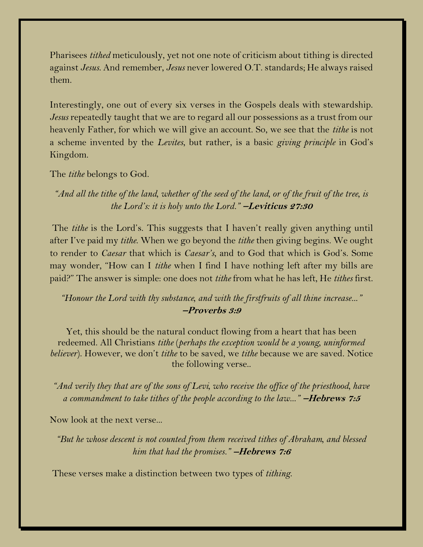Pharisees *tithed* meticulously, yet not one note of criticism about tithing is directed against *Jesus*. And remember, *Jesus* never lowered O.T. standards; He always raised them.

Interestingly, one out of every six verses in the Gospels deals with stewardship. *Jesus* repeatedly taught that we are to regard all our possessions as a trust from our heavenly Father, for which we will give an account. So, we see that the *tithe* is not a scheme invented by the *Levites*, but rather, is a basic *giving principle* in God's Kingdom.

The *tithe* belongs to God.

*"And all the tithe of the land, whether of the seed of the land, or of the fruit of the tree, is the Lord's: it is holy unto the Lord."* −**Leviticus 27:30**

The *tithe* is the Lord's. This suggests that I haven't really given anything until after I've paid my *tithe*. When we go beyond the *tithe* then giving begins. We ought to render to *Caesar* that which is *Caesar's*, and to God that which is God's. Some may wonder, "How can I *tithe* when I find I have nothing left after my bills are paid?" The answer is simple: one does not *tithe* from what he has left, He *tithes* first.

## *"Honour the Lord with thy substance, and with the firstfruits of all thine increase..."* <sup>−</sup>**Proverbs 3:9**

Yet, this should be the natural conduct flowing from a heart that has been redeemed. All Christians *tithe* (*perhaps the exception would be a young, uninformed believer*). However, we don't *tithe* to be saved, we *tithe* because we are saved. Notice the following verse..

*"And verily they that are of the sons of Levi, who receive the office of the priesthood, have a commandment to take tithes of the people according to the law..."* −**Hebrews 7:5**

Now look at the next verse...

*"But he whose descent is not counted from them received tithes of Abraham, and blessed him that had the promises."* <sup>−</sup>**Hebrews 7:6**

These verses make a distinction between two types of *tithing*.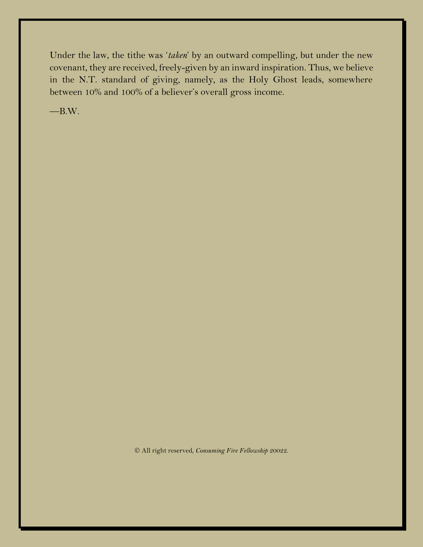Under the law, the tithe was '*taken*' by an outward compelling, but under the new covenant, they are received, freely-given by an inward inspiration. Thus, we believe in the N.T. standard of giving, namely, as the Holy Ghost leads, somewhere between 10% and 100% of a believer's overall gross income.

 $-B.W.$ 

© All right reserved, *Consuming Fire Fellowship* 20022.